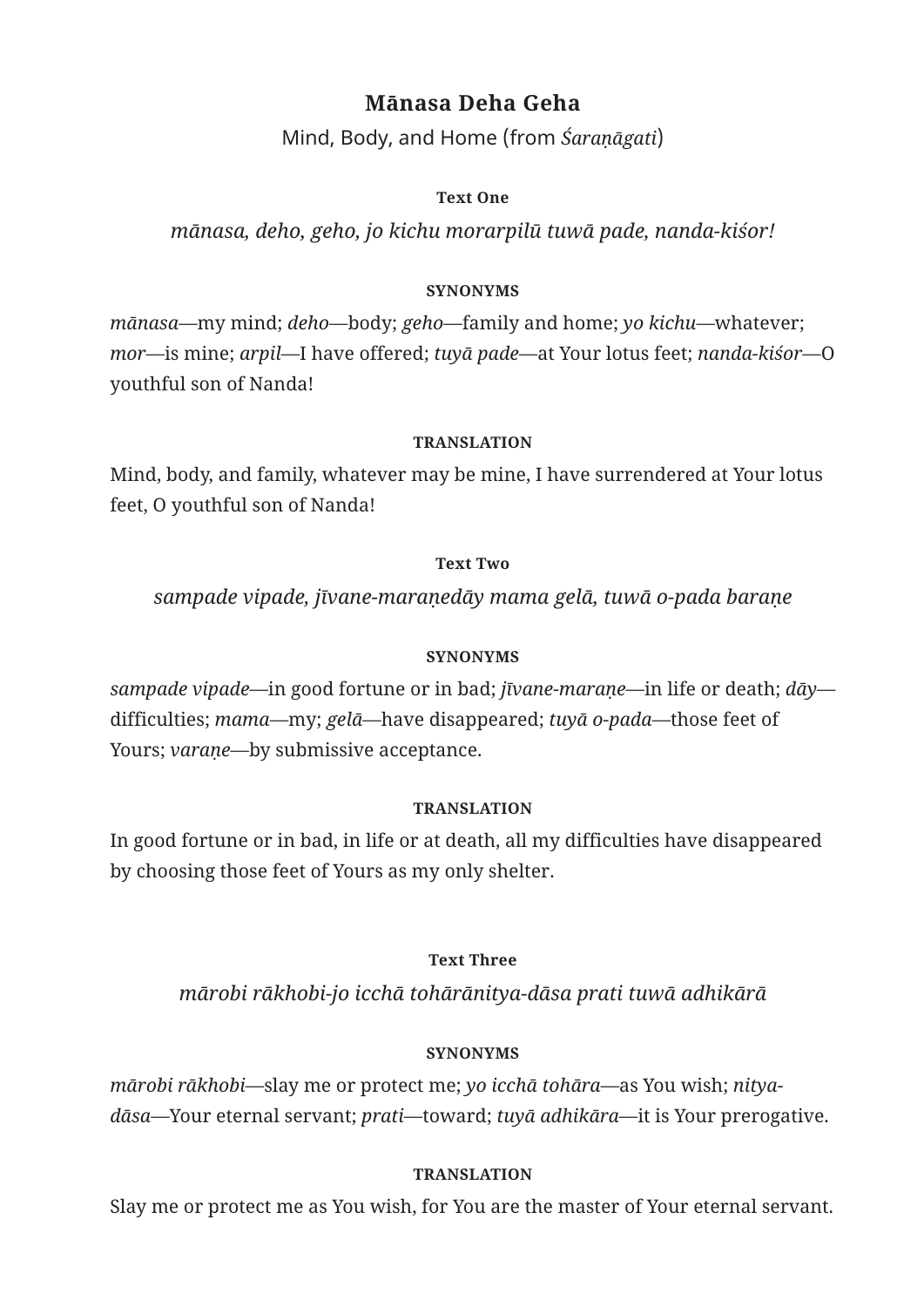# **Mānasa Deha Geha**

Mind, Body, and Home (from *Śaraṇāgati*)

## **Text One**

*mānasa, deho, geho, jo kichu morarpilū tuwā pade, nanda-kiśor!*

## **SYNONYMS**

*mānasa*—my mind; *deho*—body; *geho*—family and home; *yo kichu*—whatever; *mor*—is mine; *arpil*—I have offered; *tuyā pade*—at Your lotus feet; *nanda-kiśor*—O youthful son of Nanda!

## **TRANSLATION**

Mind, body, and family, whatever may be mine, I have surrendered at Your lotus feet, O youthful son of Nanda!

## **Text Two**

*sampade vipade, jīvane-maraṇedāy mama gelā, tuwā o-pada baraṇe*

# **SYNONYMS**

*sampade vipade*—in good fortune or in bad; *jīvane-maraṇe*—in life or death; *dāy* difficulties; *mama*—my; *gelā*—have disappeared; *tuyā o-pada*—those feet of Yours; *varaṇe*—by submissive acceptance.

# **TRANSLATION**

In good fortune or in bad, in life or at death, all my difficulties have disappeared by choosing those feet of Yours as my only shelter.

# **Text Three**

*mārobi rākhobi-jo icchā tohārānitya-dāsa prati tuwā adhikārā*

# **SYNONYMS**

*mārobi rākhobi*—slay me or protect me; *yo icchā tohāra*—as You wish; *nityadāsa*—Your eternal servant; *prati*—toward; *tuyā adhikāra*—it is Your prerogative.

# **TRANSLATION**

Slay me or protect me as You wish, for You are the master of Your eternal servant.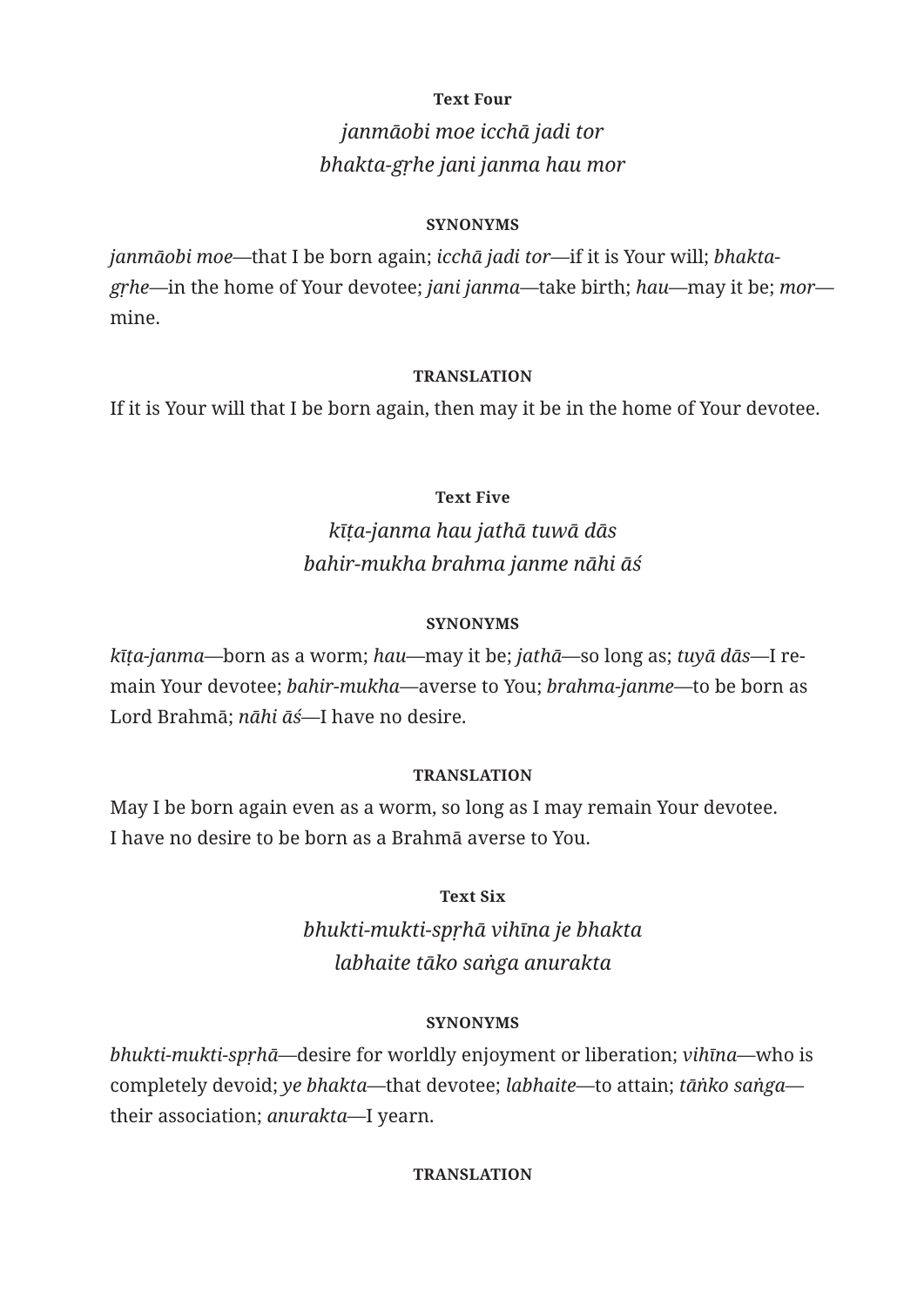### **Text Four**

# *janmāobi moe icchā jadi tor bhakta-gṛhe jani janma hau mor*

### **SYNONYMS**

*janmāobi moe*—that I be born again; *icchā jadi tor*—if it is Your will; *bhaktagṛhe*—in the home of Your devotee; *jani janma*—take birth; *hau*—may it be; *mor* mine.

#### **TRANSLATION**

If it is Your will that I be born again, then may it be in the home of Your devotee.

### **Text Five**

# *kīṭa-janma hau jathā tuwā dās bahir-mukha brahma janme nāhi āś*

#### **SYNONYMS**

*kīṭa-janma*—born as a worm; *hau*—may it be; *jathā*—so long as; *tuyā dās*—I remain Your devotee; *bahir-mukha*—averse to You; *brahma-janme*—to be born as Lord Brahmā; *nāhi āś*—I have no desire.

### **TRANSLATION**

May I be born again even as a worm, so long as I may remain Your devotee. I have no desire to be born as a Brahmā averse to You.

## **Text Six**

*bhukti-mukti-spṛhā vihīna je bhakta labhaite tāko saṅga anurakta*

### **SYNONYMS**

*bhukti-mukti-spṛhā*—desire for worldly enjoyment or liberation; *vihīna*—who is completely devoid; *ye bhakta*—that devotee; *labhaite*—to attain; *tāṅko saṅga* their association; *anurakta*—I yearn.

#### **TRANSLATION**